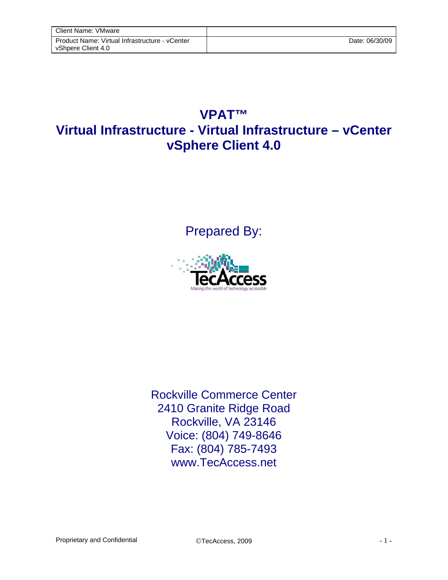## **VPAT™ Virtual Infrastructure - Virtual Infrastructure – vCenter vSphere Client 4.0**

Prepared By:



Rockville Commerce Center 2410 Granite Ridge Road Rockville, VA 23146 Voice: (804) 749-8646 Fax: (804) 785-7493 www.TecAccess.net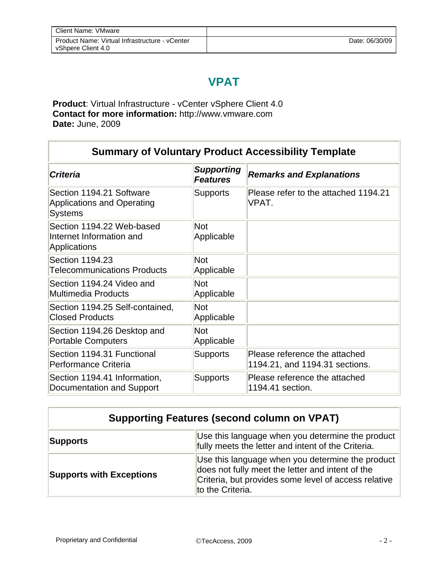## **VPAT**

**Product**: Virtual Infrastructure - vCenter vSphere Client 4.0 **Contact for more information:** http://www.vmware.com **Date:** June, 2009

| <b>Summary of Voluntary Product Accessibility Template</b>                      |                                      |                                                                 |
|---------------------------------------------------------------------------------|--------------------------------------|-----------------------------------------------------------------|
| <b>Criteria</b>                                                                 | <b>Supporting</b><br><b>Features</b> | <b>Remarks and Explanations</b>                                 |
| Section 1194.21 Software<br><b>Applications and Operating</b><br><b>Systems</b> | <b>Supports</b>                      | Please refer to the attached 1194.21<br>VPAT.                   |
| Section 1194.22 Web-based<br>Internet Information and<br>Applications           | <b>Not</b><br>Applicable             |                                                                 |
| Section 1194.23<br><b>Telecommunications Products</b>                           | <b>Not</b><br>Applicable             |                                                                 |
| Section 1194.24 Video and<br><b>Multimedia Products</b>                         | <b>Not</b><br>Applicable             |                                                                 |
| Section 1194.25 Self-contained,<br><b>Closed Products</b>                       | <b>Not</b><br>Applicable             |                                                                 |
| Section 1194.26 Desktop and<br><b>Portable Computers</b>                        | <b>Not</b><br>Applicable             |                                                                 |
| Section 1194.31 Functional<br>Performance Criteria                              | <b>Supports</b>                      | Please reference the attached<br>1194.21, and 1194.31 sections. |
| Section 1194.41 Information,<br>Documentation and Support                       | <b>Supports</b>                      | Please reference the attached<br>1194.41 section.               |

| <b>Supporting Features (second column on VPAT)</b> |                                                                                                                                                                                  |  |
|----------------------------------------------------|----------------------------------------------------------------------------------------------------------------------------------------------------------------------------------|--|
| <b>Supports</b>                                    | Use this language when you determine the product<br>fully meets the letter and intent of the Criteria.                                                                           |  |
| <b>Supports with Exceptions</b>                    | Use this language when you determine the product<br>does not fully meet the letter and intent of the<br>Criteria, but provides some level of access relative<br>to the Criteria. |  |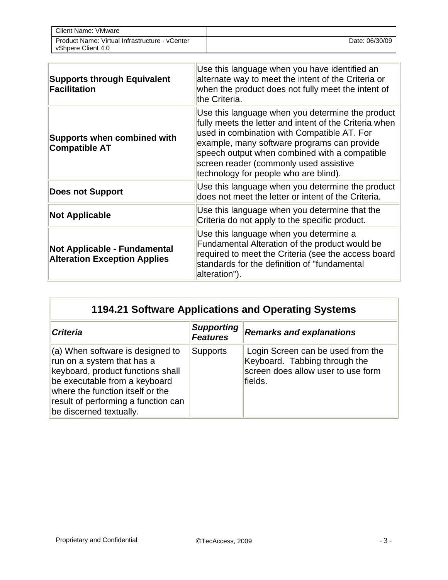| <b>Client Name: VMware</b>                                           |                |
|----------------------------------------------------------------------|----------------|
| Product Name: Virtual Infrastructure - vCenter<br>vShpere Client 4.0 | Date: 06/30/09 |

| <b>Supports through Equivalent</b><br><b>Facilitation</b>                  | Use this language when you have identified an<br>alternate way to meet the intent of the Criteria or<br>when the product does not fully meet the intent of<br>the Criteria.                                                                                                                                                                  |  |
|----------------------------------------------------------------------------|----------------------------------------------------------------------------------------------------------------------------------------------------------------------------------------------------------------------------------------------------------------------------------------------------------------------------------------------|--|
| <b>Supports when combined with</b><br><b>Compatible AT</b>                 | Use this language when you determine the product<br>fully meets the letter and intent of the Criteria when<br>used in combination with Compatible AT. For<br>example, many software programs can provide<br>speech output when combined with a compatible<br>screen reader (commonly used assistive<br>technology for people who are blind). |  |
| <b>Does not Support</b>                                                    | Use this language when you determine the product<br>does not meet the letter or intent of the Criteria.                                                                                                                                                                                                                                      |  |
| <b>Not Applicable</b>                                                      | Use this language when you determine that the<br>Criteria do not apply to the specific product.                                                                                                                                                                                                                                              |  |
| <b>Not Applicable - Fundamental</b><br><b>Alteration Exception Applies</b> | Use this language when you determine a<br>Fundamental Alteration of the product would be<br>required to meet the Criteria (see the access board<br>standards for the definition of "fundamental<br>alteration").                                                                                                                             |  |

## **1194.21 Software Applications and Operating Systems**

| <b>Criteria</b>                                                                                                                                                                                                                                    | <b>Supporting</b><br><b>Features</b> | <b>Remarks and explanations</b>                                                                                     |
|----------------------------------------------------------------------------------------------------------------------------------------------------------------------------------------------------------------------------------------------------|--------------------------------------|---------------------------------------------------------------------------------------------------------------------|
| $\vert$ (a) When software is designed to<br>run on a system that has a<br>keyboard, product functions shall<br>be executable from a keyboard<br>where the function itself or the<br>result of performing a function can<br>be discerned textually. | <b>Supports</b>                      | Login Screen can be used from the<br>Keyboard. Tabbing through the<br>screen does allow user to use form<br>fields. |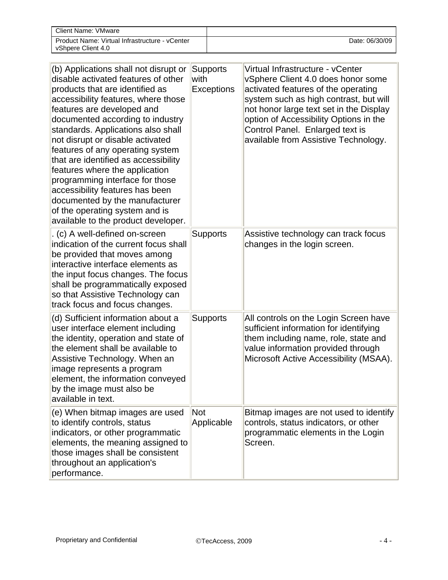| Client Name: VMware                                                  |                |
|----------------------------------------------------------------------|----------------|
| Product Name: Virtual Infrastructure - vCenter<br>vShpere Client 4.0 | Date: 06/30/09 |

| (b) Applications shall not disrupt or<br>disable activated features of other<br>products that are identified as<br>accessibility features, where those<br>features are developed and<br>documented according to industry<br>standards. Applications also shall<br>not disrupt or disable activated<br>features of any operating system<br>that are identified as accessibility<br>features where the application<br>programming interface for those<br>accessibility features has been<br>documented by the manufacturer<br>of the operating system and is<br>available to the product developer. | <b>Supports</b><br>with<br><b>Exceptions</b> | Virtual Infrastructure - vCenter<br>vSphere Client 4.0 does honor some<br>activated features of the operating<br>system such as high contrast, but will<br>not honor large text set in the Display<br>option of Accessibility Options in the<br>Control Panel. Enlarged text is<br>available from Assistive Technology. |
|---------------------------------------------------------------------------------------------------------------------------------------------------------------------------------------------------------------------------------------------------------------------------------------------------------------------------------------------------------------------------------------------------------------------------------------------------------------------------------------------------------------------------------------------------------------------------------------------------|----------------------------------------------|-------------------------------------------------------------------------------------------------------------------------------------------------------------------------------------------------------------------------------------------------------------------------------------------------------------------------|
| . (c) A well-defined on-screen<br>indication of the current focus shall<br>be provided that moves among<br>interactive interface elements as<br>the input focus changes. The focus<br>shall be programmatically exposed<br>so that Assistive Technology can<br>track focus and focus changes.                                                                                                                                                                                                                                                                                                     | <b>Supports</b>                              | Assistive technology can track focus<br>changes in the login screen.                                                                                                                                                                                                                                                    |
| (d) Sufficient information about a<br>user interface element including<br>the identity, operation and state of<br>the element shall be available to<br>Assistive Technology. When an<br>image represents a program<br>element, the information conveyed<br>by the image must also be<br>available in text.                                                                                                                                                                                                                                                                                        | <b>Supports</b>                              | All controls on the Login Screen have<br>sufficient information for identifying<br>them including name, role, state and<br>value information provided through<br>Microsoft Active Accessibility (MSAA).                                                                                                                 |
| (e) When bitmap images are used<br>to identify controls, status<br>indicators, or other programmatic<br>elements, the meaning assigned to<br>those images shall be consistent<br>throughout an application's<br>performance.                                                                                                                                                                                                                                                                                                                                                                      | <b>Not</b><br>Applicable                     | Bitmap images are not used to identify<br>controls, status indicators, or other<br>programmatic elements in the Login<br>Screen.                                                                                                                                                                                        |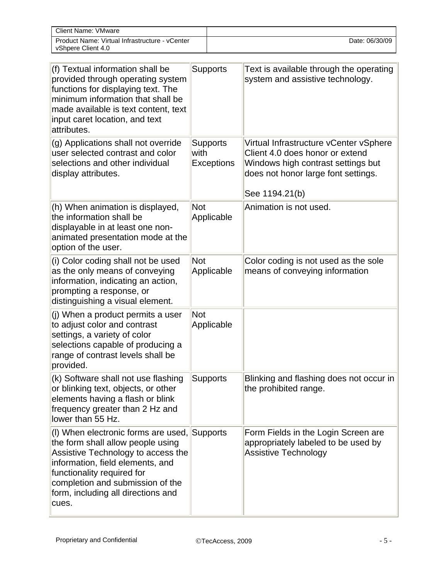| Client Name: VMware                                                  |                |
|----------------------------------------------------------------------|----------------|
| Product Name: Virtual Infrastructure - vCenter<br>vShpere Client 4.0 | Date: 06/30/09 |

| (f) Textual information shall be<br>provided through operating system<br>functions for displaying text. The<br>minimum information that shall be<br>made available is text content, text<br>input caret location, and text<br>attributes.                                    | <b>Supports</b>                              | Text is available through the operating<br>system and assistive technology.                                                                                              |
|------------------------------------------------------------------------------------------------------------------------------------------------------------------------------------------------------------------------------------------------------------------------------|----------------------------------------------|--------------------------------------------------------------------------------------------------------------------------------------------------------------------------|
| (g) Applications shall not override<br>user selected contrast and color<br>selections and other individual<br>display attributes.                                                                                                                                            | <b>Supports</b><br>with<br><b>Exceptions</b> | Virtual Infrastructure vCenter vSphere<br>Client 4.0 does honor or extend<br>Windows high contrast settings but<br>does not honor large font settings.<br>See 1194.21(b) |
| (h) When animation is displayed,<br>the information shall be<br>displayable in at least one non-<br>animated presentation mode at the<br>option of the user.                                                                                                                 | Not<br>Applicable                            | Animation is not used.                                                                                                                                                   |
| (i) Color coding shall not be used<br>as the only means of conveying<br>information, indicating an action,<br>prompting a response, or<br>distinguishing a visual element.                                                                                                   | <b>Not</b><br>Applicable                     | Color coding is not used as the sole<br>means of conveying information                                                                                                   |
| (j) When a product permits a user<br>to adjust color and contrast<br>settings, a variety of color<br>selections capable of producing a<br>range of contrast levels shall be<br>provided.                                                                                     | <b>Not</b><br>Applicable                     |                                                                                                                                                                          |
| (k) Software shall not use flashing<br>or blinking text, objects, or other<br>elements having a flash or blink<br>frequency greater than 2 Hz and<br>lower than 55 Hz.                                                                                                       | <b>Supports</b>                              | Blinking and flashing does not occur in<br>the prohibited range.                                                                                                         |
| (I) When electronic forms are used, Supports<br>the form shall allow people using<br>Assistive Technology to access the<br>information, field elements, and<br>functionality required for<br>completion and submission of the<br>form, including all directions and<br>cues. |                                              | Form Fields in the Login Screen are<br>appropriately labeled to be used by<br><b>Assistive Technology</b>                                                                |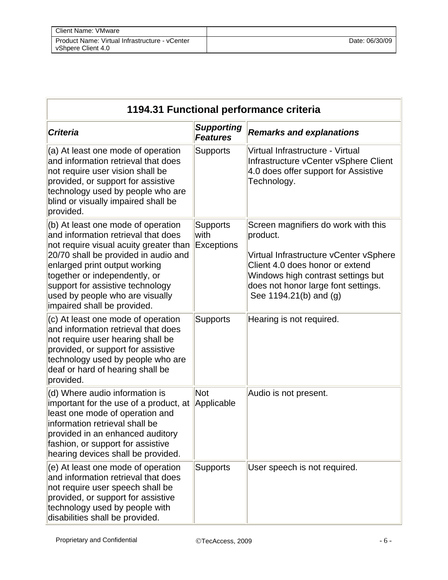| 1194.31 Functional performance criteria                                                                                                                                                                                                                                                                                             |                                       |                                                                                                                                                                                                                                     |
|-------------------------------------------------------------------------------------------------------------------------------------------------------------------------------------------------------------------------------------------------------------------------------------------------------------------------------------|---------------------------------------|-------------------------------------------------------------------------------------------------------------------------------------------------------------------------------------------------------------------------------------|
| <b>Criteria</b>                                                                                                                                                                                                                                                                                                                     | <b>Supporting</b><br><b>Features</b>  | <b>Remarks and explanations</b>                                                                                                                                                                                                     |
| (a) At least one mode of operation<br>and information retrieval that does<br>not require user vision shall be<br>provided, or support for assistive<br>technology used by people who are<br>blind or visually impaired shall be<br>provided.                                                                                        | <b>Supports</b>                       | Virtual Infrastructure - Virtual<br>Infrastructure vCenter vSphere Client<br>4.0 does offer support for Assistive<br>Technology.                                                                                                    |
| (b) At least one mode of operation<br>and information retrieval that does<br>not require visual acuity greater than<br>20/70 shall be provided in audio and<br>enlarged print output working<br>together or independently, or<br>support for assistive technology<br>used by people who are visually<br>impaired shall be provided. | <b>Supports</b><br>with<br>Exceptions | Screen magnifiers do work with this<br>product.<br>Virtual Infrastructure vCenter vSphere<br>Client 4.0 does honor or extend<br>Windows high contrast settings but<br>does not honor large font settings.<br>See 1194.21(b) and (g) |
| (c) At least one mode of operation<br>and information retrieval that does<br>not require user hearing shall be<br>provided, or support for assistive<br>technology used by people who are<br>deaf or hard of hearing shall be<br>provided.                                                                                          | <b>Supports</b>                       | Hearing is not required.                                                                                                                                                                                                            |
| (d) Where audio information is<br>important for the use of a product, at<br>least one mode of operation and<br>information retrieval shall be<br>provided in an enhanced auditory<br>fashion, or support for assistive<br>hearing devices shall be provided.                                                                        | Not<br>Applicable                     | Audio is not present.                                                                                                                                                                                                               |
| (e) At least one mode of operation<br>and information retrieval that does<br>not require user speech shall be<br>provided, or support for assistive<br>technology used by people with<br>disabilities shall be provided.                                                                                                            | <b>Supports</b>                       | User speech is not required.                                                                                                                                                                                                        |